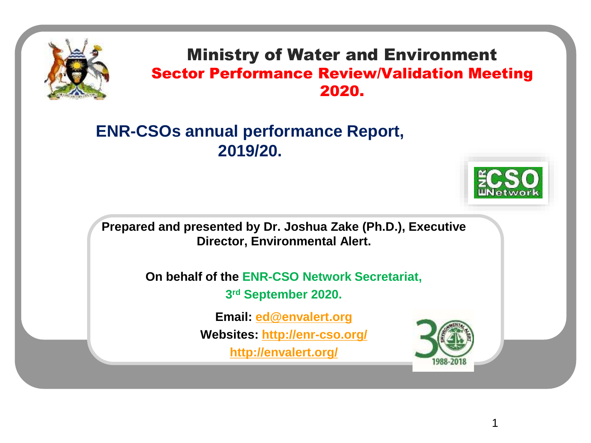

#### Ministry of Water and Environment Sector Performance Review/Validation Meeting 2020.

### **ENR-CSOs annual performance Report, 2019/20.**



1

**Prepared and presented by Dr. Joshua Zake (Ph.D.), Executive Director, Environmental Alert.**

> **On behalf of the ENR-CSO Network Secretariat, 3 rd September 2020.**

> > **Email: [ed@envalert.org](mailto:ed@envalert.org)**

**Websites:<http://enr-cso.org/>**

**<http://envalert.org/>**

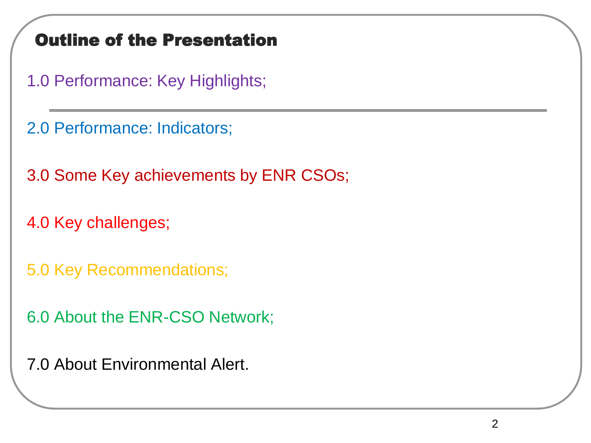### Outline of the Presentation

1.0 Performance: Key Highlights;

2.0 Performance: Indicators;

3.0 Some Key achievements by ENR CSOs;

4.0 Key challenges;

5.0 Key Recommendations;

6.0 About the ENR-CSO Network;

7.0 About Environmental Alert.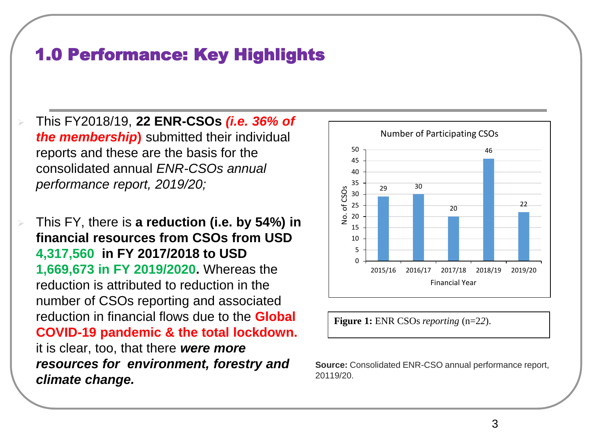### 1.0 Performance: Key Highlights

➢ This FY2018/19, **22 ENR-CSOs** *(i.e. 36% of the membership***)** submitted their individual reports and these are the basis for the consolidated annual *ENR-CSOs annual performance report, 2019/20;*

➢ This FY, there is **a reduction (i.e. by 54%) in financial resources from CSOs from USD 4,317,560 in FY 2017/2018 to USD 1,669,673 in FY 2019/2020.** Whereas the reduction is attributed to reduction in the number of CSOs reporting and associated reduction in financial flows due to the **Global COVID-19 pandemic & the total lockdown.** it is clear, too, that there *were more resources for environment, forestry and climate change.* 



**Figure 1:** ENR CSOs *reporting* (n=2*2*).

**Source:** Consolidated ENR-CSO annual performance report, 20119/20.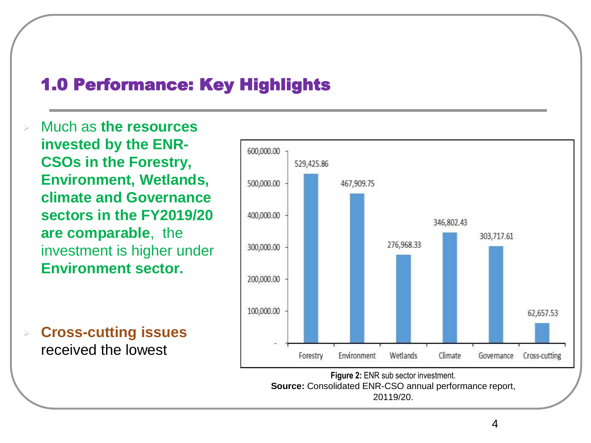### 1.0 Performance: Key Highlights

➢ Much as **the resources invested by the ENR-CSOs in the Forestry, Environment, Wetlands, climate and Governance sectors in the FY2019/20 are comparable**, the investment is higher under **Environment sector.** 

➢ **Cross-cutting issues**  received the lowest



**Source:** Consolidated ENR-CSO annual performance report, 20119/20.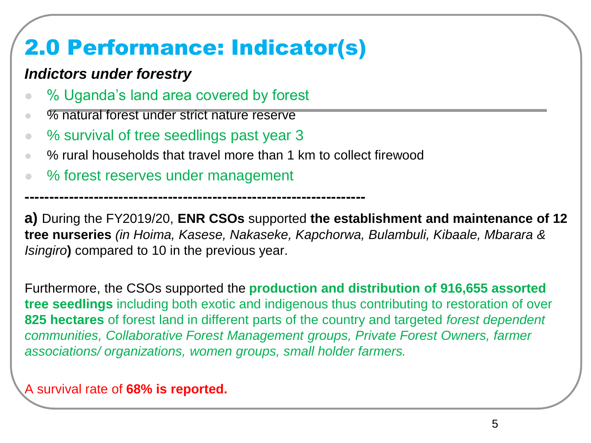## 2.0 Performance: Indicator(s)

**---------------------------------------------------------------------**

#### *Indictors under forestry*

- % Uganda's land area covered by forest
- % natural forest under strict nature reserve
- % survival of tree seedlings past year 3
- % rural households that travel more than 1 km to collect firewood
- % forest reserves under management

**a)** During the FY2019/20, **ENR CSOs** supported **the establishment and maintenance of 12 tree nurseries** *(in Hoima, Kasese, Nakaseke, Kapchorwa, Bulambuli, Kibaale, Mbarara & Isingiro***)** compared to 10 in the previous year.

Furthermore, the CSOs supported the **production and distribution of 916,655 assorted tree seedlings** including both exotic and indigenous thus contributing to restoration of over **825 hectares** of forest land in different parts of the country and targeted *forest dependent communities, Collaborative Forest Management groups, Private Forest Owners, farmer associations/ organizations, women groups, small holder farmers*.

A survival rate of **68% is reported.**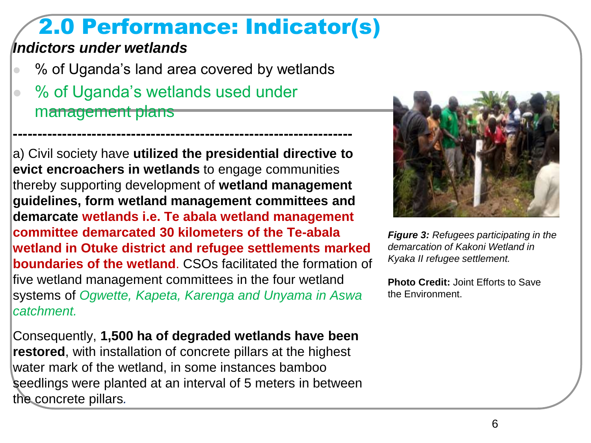## 2.0 Performance: Indicator(s)

#### *Indictors under wetlands*

■ % of Uganda's land area covered by wetlands

**---------------------------------------------------------------------**

● % of Uganda's wetlands used under management plans

a) Civil society have **utilized the presidential directive to evict encroachers in wetlands** to engage communities thereby supporting development of **wetland management guidelines, form wetland management committees and demarcate wetlands i.e. Te abala wetland management committee demarcated 30 kilometers of the Te-abala wetland in Otuke district and refugee settlements marked boundaries of the wetland**. CSOs facilitated the formation of five wetland management committees in the four wetland systems of *Ogwette, Kapeta, Karenga and Unyama in Aswa catchment.* 

Consequently, **1,500 ha of degraded wetlands have been restored**, with installation of concrete pillars at the highest water mark of the wetland, in some instances bamboo seedlings were planted at an interval of 5 meters in between the concrete pillars*.*



*Figure 3: Refugees participating in the demarcation of Kakoni Wetland in Kyaka II refugee settlement.*

**Photo Credit:** Joint Efforts to Save the Environment.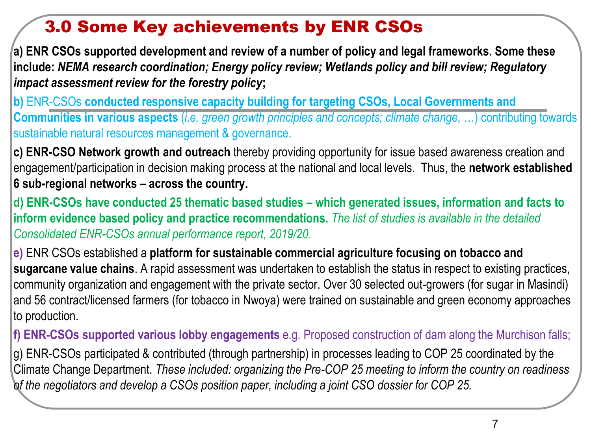### 3.0 Some Key achievements by ENR CSOs

**a) ENR CSOs supported development and review of a number of policy and legal frameworks. Some these include:** *NEMA research coordination; Energy policy review; Wetlands policy and bill review; Regulatory impact assessment review for the forestry policy***;** 

**b)** ENR-CSOs **conducted responsive capacity building for targeting CSOs, Local Governments and Communities in various aspects** (*i.e. green growth principles and concepts; climate change,* …) contributing towards sustainable natural resources management & governance.

**c) ENR-CSO Network growth and outreach** thereby providing opportunity for issue based awareness creation and engagement/participation in decision making process at the national and local levels. Thus, the **network established 6 sub-regional networks – across the country.** 

**d) ENR-CSOs have conducted 25 thematic based studies – which generated issues, information and facts to inform evidence based policy and practice recommendations.** *The list of studies is available in the detailed Consolidated ENR-CSOs annual performance report, 2019/20.*

**e)** ENR CSOs established a **platform for sustainable commercial agriculture focusing on tobacco and sugarcane value chains**. A rapid assessment was undertaken to establish the status in respect to existing practices, community organization and engagement with the private sector. Over 30 selected out-growers (for sugar in Masindi) and 56 contract/licensed farmers (for tobacco in Nwoya) were trained on sustainable and green economy approaches to production.

**f) ENR-CSOs supported various lobby engagements** e.g. Proposed construction of dam along the Murchison falls;

g) ENR-CSOs participated & contributed (through partnership) in processes leading to COP 25 coordinated by the Climate Change Department. *These included: organizing the Pre-COP 25 meeting to inform the country on readiness of the negotiators and develop a CSOs position paper, including a joint CSO dossier for COP 25.*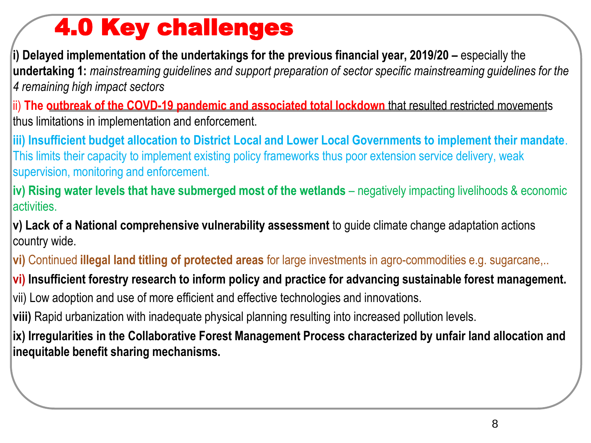# 4.0 Key challenges

**i) Delayed implementation of the undertakings for the previous financial year, 2019/20 –** especially the **undertaking 1:** *mainstreaming guidelines and support preparation of sector specific mainstreaming guidelines for the 4 remaining high impact sectors* 

ii) **The outbreak of the COVD-19 pandemic and associated total lockdown** that resulted restricted movements thus limitations in implementation and enforcement.

**iii) Insufficient budget allocation to District Local and Lower Local Governments to implement their mandate**. This limits their capacity to implement existing policy frameworks thus poor extension service delivery, weak supervision, monitoring and enforcement.

**iv) Rising water levels that have submerged most of the wetlands** – negatively impacting livelihoods & economic **activities** 

**v) Lack of a National comprehensive vulnerability assessment** to guide climate change adaptation actions country wide.

**vi)** Continued **illegal land titling of protected areas** for large investments in agro-commodities e.g. sugarcane,..

**vi) Insufficient forestry research to inform policy and practice for advancing sustainable forest management.** 

vii) Low adoption and use of more efficient and effective technologies and innovations.

**viii)** Rapid urbanization with inadequate physical planning resulting into increased pollution levels.

**ix) Irregularities in the Collaborative Forest Management Process characterized by unfair land allocation and inequitable benefit sharing mechanisms.**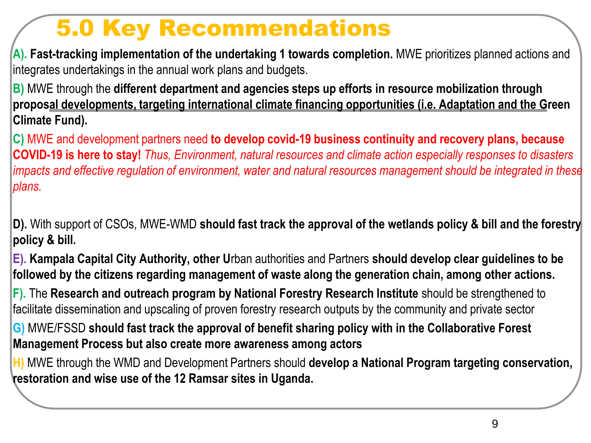## 5.0 Key Recommendations

**A). Fast-tracking implementation of the undertaking 1 towards completion.** MWE prioritizes planned actions and integrates undertakings in the annual work plans and budgets.

**B)** MWE through the **different department and agencies steps up efforts in resource mobilization through proposal developments, targeting international climate financing opportunities (i.e. Adaptation and the Green Climate Fund).**

**C)** MWE and development partners need **to develop covid-19 business continuity and recovery plans, because COVID-19 is here to stay!** *Thus, Environment, natural resources and climate action especially responses to disasters impacts and effective regulation of environment, water and natural resources management should be integrated in these plans.* 

**D).** With support of CSOs, MWE-WMD **should fast track the approval of the wetlands policy & bill and the forestry policy & bill.**

**E). Kampala Capital City Authority, other U**rban authorities and Partners **should develop clear guidelines to be followed by the citizens regarding management of waste along the generation chain, among other actions.**

**F).** The **Research and outreach program by National Forestry Research Institute** should be strengthened to facilitate dissemination and upscaling of proven forestry research outputs by the community and private sector

**G)** MWE/FSSD **should fast track the approval of benefit sharing policy with in the Collaborative Forest Management Process but also create more awareness among actors**

**H)** MWE through the WMD and Development Partners should **develop a National Program targeting conservation, restoration and wise use of the 12 Ramsar sites in Uganda.**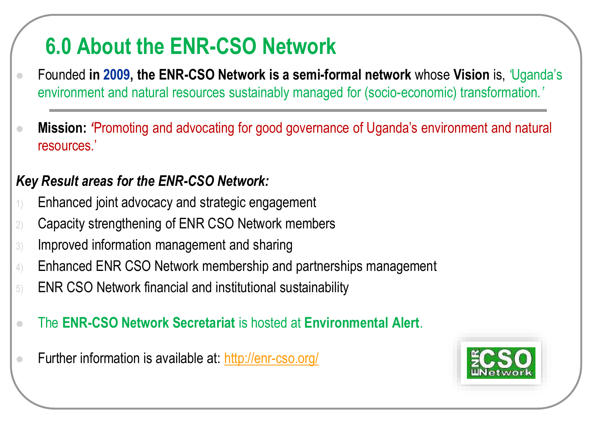## **6.0 About the ENR-CSO Network**

- ⚫ Founded **in 2009, the ENR-CSO Network is a semi-formal network** whose **Vision** is, *'*Uganda's environment and natural resources sustainably managed for (socio-economic) transformation*.'*
- ⚫ **Mission:** *'*Promoting and advocating for good governance of Uganda's environment and natural resources*.*'

#### *Key Result areas for the ENR-CSO Network:*

- 1) Enhanced joint advocacy and strategic engagement
- 2) Capacity strengthening of ENR CSO Network members
- 3) Improved information management and sharing
- 4) Enhanced ENR CSO Network membership and partnerships management
- 5) ENR CSO Network financial and institutional sustainability
- ⚫ The **ENR-CSO Network Secretariat** is hosted at **Environmental Alert**.
- **Eurther information is available at: <http://enr-cso.org/>**